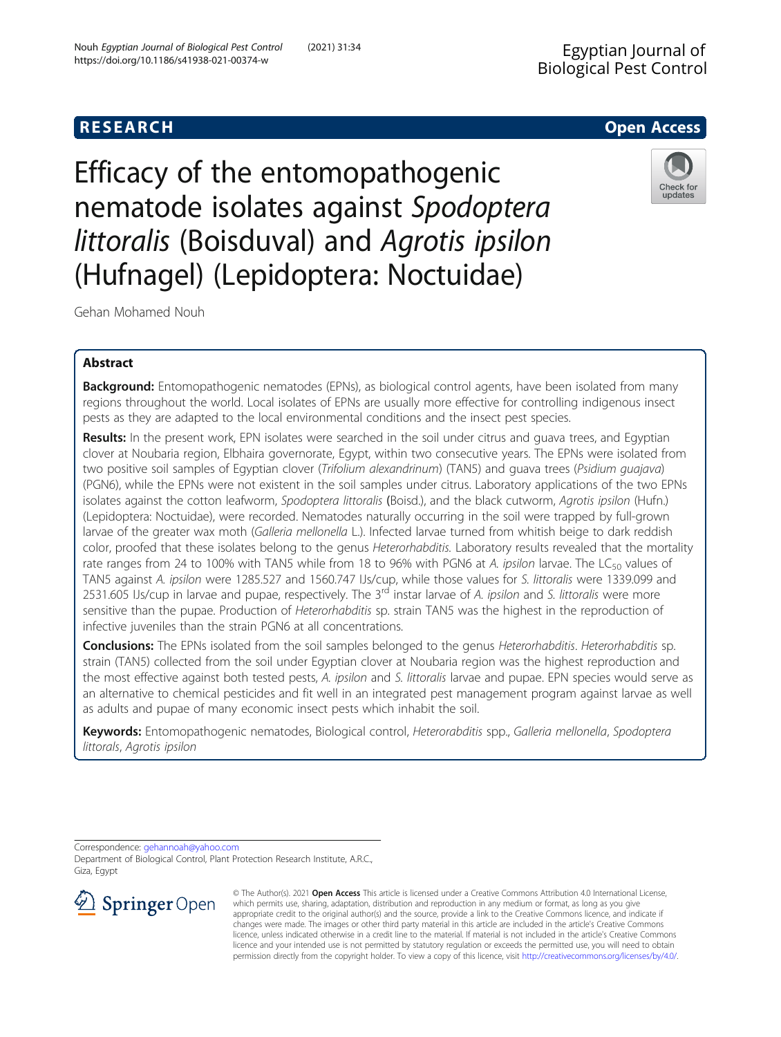Efficacy of the entomopathogenic nematode isolates against Spodoptera littoralis (Boisduval) and Agrotis ipsilon (Hufnagel) (Lepidoptera: Noctuidae)



Gehan Mohamed Nouh

# Abstract

Background: Entomopathogenic nematodes (EPNs), as biological control agents, have been isolated from many regions throughout the world. Local isolates of EPNs are usually more effective for controlling indigenous insect pests as they are adapted to the local environmental conditions and the insect pest species.

Results: In the present work, EPN isolates were searched in the soil under citrus and quava trees, and Egyptian clover at Noubaria region, Elbhaira governorate, Egypt, within two consecutive years. The EPNs were isolated from two positive soil samples of Egyptian clover (Trifolium alexandrinum) (TAN5) and quava trees (Psidium quajava) (PGN6), while the EPNs were not existent in the soil samples under citrus. Laboratory applications of the two EPNs isolates against the cotton leafworm, Spodoptera littoralis (Boisd.), and the black cutworm, Agrotis ipsilon (Hufn.) (Lepidoptera: Noctuidae), were recorded. Nematodes naturally occurring in the soil were trapped by full-grown larvae of the greater wax moth (Galleria mellonella L.). Infected larvae turned from whitish beige to dark reddish color, proofed that these isolates belong to the genus Heterorhabditis. Laboratory results revealed that the mortality rate ranges from 24 to 100% with TAN5 while from 18 to 96% with PGN6 at A. ipsilon larvae. The LC $_{50}$  values of TAN5 against A. ipsilon were 1285.527 and 1560.747 IJs/cup, while those values for S. littoralis were 1339.099 and 2531.605 IJs/cup in larvae and pupae, respectively. The 3<sup>rd</sup> instar larvae of A. ipsilon and S. littoralis were more sensitive than the pupae. Production of Heterorhabditis sp. strain TAN5 was the highest in the reproduction of infective juveniles than the strain PGN6 at all concentrations.

Conclusions: The EPNs isolated from the soil samples belonged to the genus Heterorhabditis. Heterorhabditis sp. strain (TAN5) collected from the soil under Egyptian clover at Noubaria region was the highest reproduction and the most effective against both tested pests, A. ipsilon and S. littoralis larvae and pupae. EPN species would serve as an alternative to chemical pesticides and fit well in an integrated pest management program against larvae as well as adults and pupae of many economic insect pests which inhabit the soil.

Keywords: Entomopathogenic nematodes, Biological control, Heterorabditis spp., Galleria mellonella, Spodoptera littorals, Agrotis ipsilon

Correspondence: [gehannoah@yahoo.com](mailto:gehannoah@yahoo.com) Department of Biological Control, Plant Protection Research Institute, A.R.C., Giza, Egypt



© The Author(s). 2021 Open Access This article is licensed under a Creative Commons Attribution 4.0 International License, which permits use, sharing, adaptation, distribution and reproduction in any medium or format, as long as you give appropriate credit to the original author(s) and the source, provide a link to the Creative Commons licence, and indicate if changes were made. The images or other third party material in this article are included in the article's Creative Commons licence, unless indicated otherwise in a credit line to the material. If material is not included in the article's Creative Commons licence and your intended use is not permitted by statutory regulation or exceeds the permitted use, you will need to obtain permission directly from the copyright holder. To view a copy of this licence, visit <http://creativecommons.org/licenses/by/4.0/>.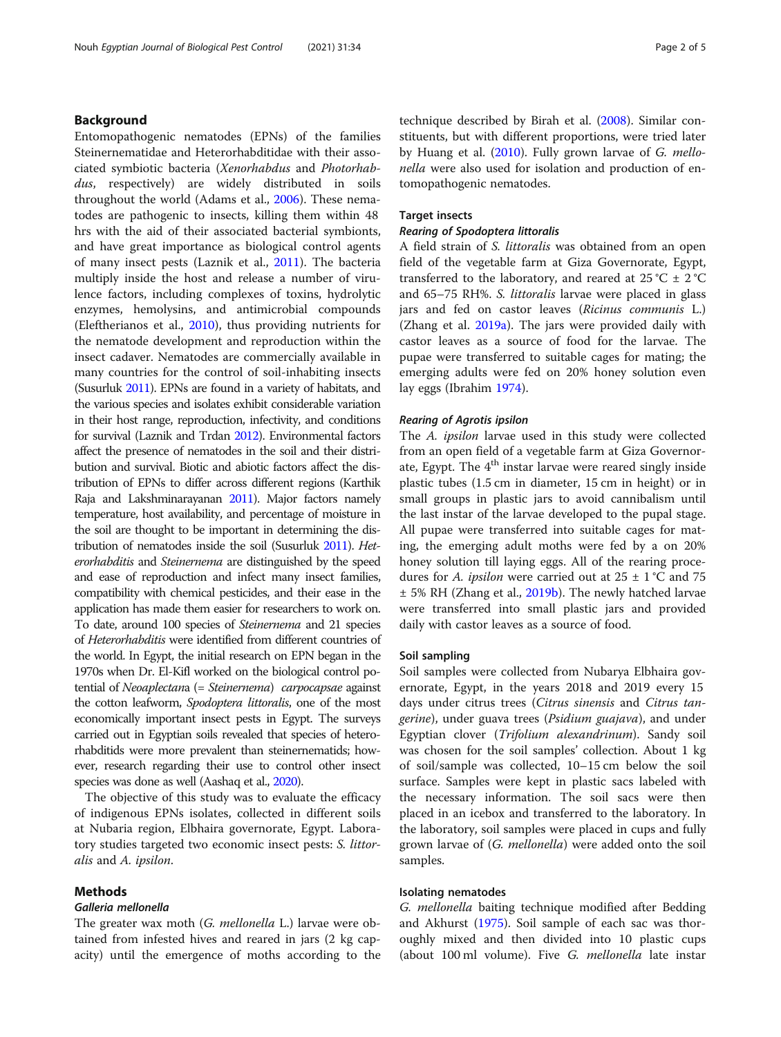# Background

Entomopathogenic nematodes (EPNs) of the families Steinernematidae and Heterorhabditidae with their associated symbiotic bacteria (Xenorhabdus and Photorhabdus, respectively) are widely distributed in soils throughout the world (Adams et al., [2006](#page-4-0)). These nematodes are pathogenic to insects, killing them within 48 hrs with the aid of their associated bacterial symbionts, and have great importance as biological control agents of many insect pests (Laznik et al., [2011\)](#page-4-0). The bacteria multiply inside the host and release a number of virulence factors, including complexes of toxins, hydrolytic enzymes, hemolysins, and antimicrobial compounds (Eleftherianos et al., [2010\)](#page-4-0), thus providing nutrients for the nematode development and reproduction within the insect cadaver. Nematodes are commercially available in many countries for the control of soil-inhabiting insects (Susurluk [2011](#page-4-0)). EPNs are found in a variety of habitats, and the various species and isolates exhibit considerable variation in their host range, reproduction, infectivity, and conditions for survival (Laznik and Trdan [2012](#page-4-0)). Environmental factors affect the presence of nematodes in the soil and their distribution and survival. Biotic and abiotic factors affect the distribution of EPNs to differ across different regions (Karthik Raja and Lakshminarayanan [2011](#page-4-0)). Major factors namely temperature, host availability, and percentage of moisture in the soil are thought to be important in determining the distribution of nematodes inside the soil (Susurluk [2011](#page-4-0)). Heterorhabditis and Steinernema are distinguished by the speed and ease of reproduction and infect many insect families, compatibility with chemical pesticides, and their ease in the application has made them easier for researchers to work on. To date, around 100 species of Steinernema and 21 species of Heterorhabditis were identified from different countries of the world. In Egypt, the initial research on EPN began in the 1970s when Dr. El-Kifl worked on the biological control potential of Neoaplectana (= Steinernema) carpocapsae against the cotton leafworm, Spodoptera littoralis, one of the most economically important insect pests in Egypt. The surveys carried out in Egyptian soils revealed that species of heterorhabditids were more prevalent than steinernematids; however, research regarding their use to control other insect species was done as well (Aashaq et al., [2020\)](#page-4-0).

The objective of this study was to evaluate the efficacy of indigenous EPNs isolates, collected in different soils at Nubaria region, Elbhaira governorate, Egypt. Laboratory studies targeted two economic insect pests: S. littoralis and A. ipsilon.

## Methods

#### Galleria mellonella

The greater wax moth (*G. mellonella L.*) larvae were obtained from infested hives and reared in jars (2 kg capacity) until the emergence of moths according to the technique described by Birah et al. [\(2008\)](#page-4-0). Similar constituents, but with different proportions, were tried later by Huang et al. [\(2010](#page-4-0)). Fully grown larvae of G. mellonella were also used for isolation and production of entomopathogenic nematodes.

# Target insects

#### Rearing of Spodoptera littoralis

A field strain of S. littoralis was obtained from an open field of the vegetable farm at Giza Governorate, Egypt, transferred to the laboratory, and reared at 25 °C  $\pm$  2 °C and 65–75 RH%. S. littoralis larvae were placed in glass jars and fed on castor leaves (Ricinus communis L.) (Zhang et al. [2019a\)](#page-4-0). The jars were provided daily with castor leaves as a source of food for the larvae. The pupae were transferred to suitable cages for mating; the emerging adults were fed on 20% honey solution even lay eggs (Ibrahim [1974\)](#page-4-0).

#### Rearing of Agrotis ipsilon

The A. ipsilon larvae used in this study were collected from an open field of a vegetable farm at Giza Governorate, Egypt. The  $4<sup>th</sup>$  instar larvae were reared singly inside plastic tubes (1.5 cm in diameter, 15 cm in height) or in small groups in plastic jars to avoid cannibalism until the last instar of the larvae developed to the pupal stage. All pupae were transferred into suitable cages for mating, the emerging adult moths were fed by a on 20% honey solution till laying eggs. All of the rearing procedures for A. *ipsilon* were carried out at  $25 \pm 1$  °C and 75 ± 5% RH (Zhang et al., [2019b\)](#page-4-0). The newly hatched larvae were transferred into small plastic jars and provided daily with castor leaves as a source of food.

## Soil sampling

Soil samples were collected from Nubarya Elbhaira governorate, Egypt, in the years 2018 and 2019 every 15 days under citrus trees (Citrus sinensis and Citrus tangerine), under guava trees (Psidium guajava), and under Egyptian clover (Trifolium alexandrinum). Sandy soil was chosen for the soil samples' collection. About 1 kg of soil/sample was collected, 10–15 cm below the soil surface. Samples were kept in plastic sacs labeled with the necessary information. The soil sacs were then placed in an icebox and transferred to the laboratory. In the laboratory, soil samples were placed in cups and fully grown larvae of (*G. mellonella*) were added onto the soil samples.

## Isolating nematodes

G. mellonella baiting technique modified after Bedding and Akhurst ([1975](#page-4-0)). Soil sample of each sac was thoroughly mixed and then divided into 10 plastic cups (about 100 ml volume). Five G. mellonella late instar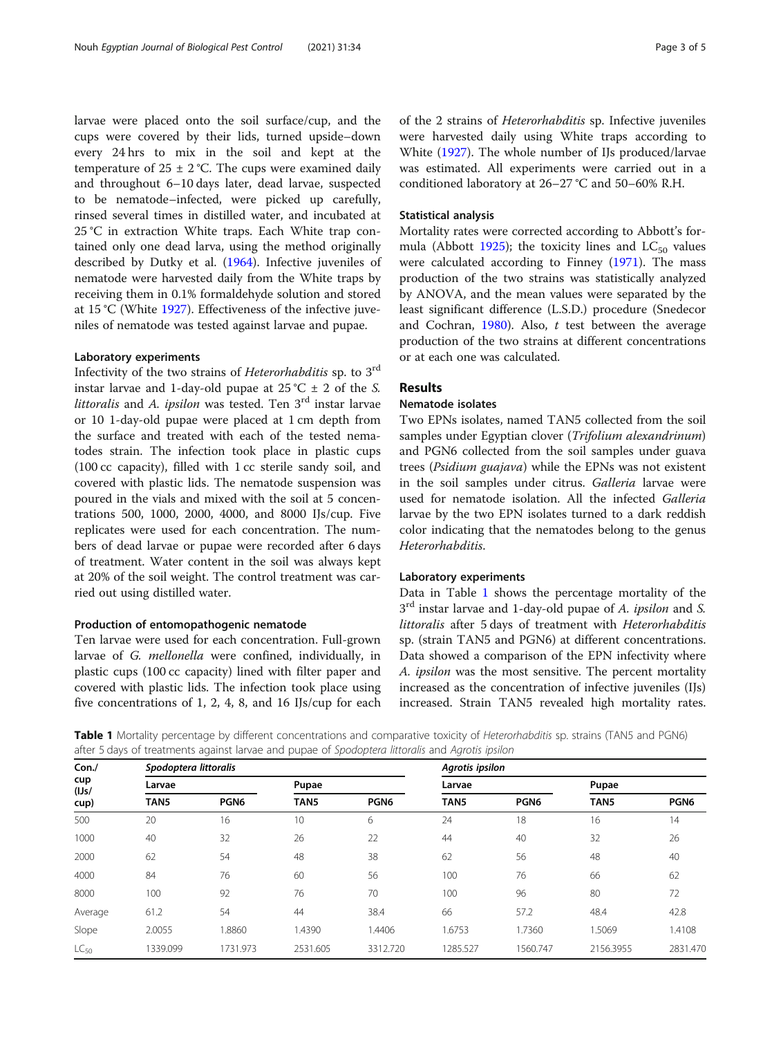larvae were placed onto the soil surface/cup, and the cups were covered by their lids, turned upside–down every 24 hrs to mix in the soil and kept at the temperature of  $25 \pm 2$  °C. The cups were examined daily and throughout 6–10 days later, dead larvae, suspected to be nematode–infected, were picked up carefully, rinsed several times in distilled water, and incubated at 25 °C in extraction White traps. Each White trap contained only one dead larva, using the method originally described by Dutky et al. [\(1964\)](#page-4-0). Infective juveniles of nematode were harvested daily from the White traps by receiving them in 0.1% formaldehyde solution and stored at 15 °C (White [1927\)](#page-4-0). Effectiveness of the infective juveniles of nematode was tested against larvae and pupae.

# Laboratory experiments

Infectivity of the two strains of Heterorhabditis sp. to 3rd instar larvae and 1-day-old pupae at  $25^{\circ}$ C  $\pm$  2 of the S. *littoralis* and A. *ipsilon* was tested. Ten  $3<sup>rd</sup>$  instar larvae or 10 1-day-old pupae were placed at 1 cm depth from the surface and treated with each of the tested nematodes strain. The infection took place in plastic cups (100 cc capacity), filled with 1 cc sterile sandy soil, and covered with plastic lids. The nematode suspension was poured in the vials and mixed with the soil at 5 concentrations 500, 1000, 2000, 4000, and 8000 IJs/cup. Five replicates were used for each concentration. The numbers of dead larvae or pupae were recorded after 6 days of treatment. Water content in the soil was always kept at 20% of the soil weight. The control treatment was carried out using distilled water.

## Production of entomopathogenic nematode

Ten larvae were used for each concentration. Full-grown larvae of G. mellonella were confined, individually, in plastic cups (100 cc capacity) lined with filter paper and covered with plastic lids. The infection took place using five concentrations of 1, 2, 4, 8, and 16 IJs/cup for each of the 2 strains of Heterorhabditis sp. Infective juveniles were harvested daily using White traps according to White ([1927](#page-4-0)). The whole number of IJs produced/larvae was estimated. All experiments were carried out in a conditioned laboratory at 26–27 °C and 50–60% R.H.

## Statistical analysis

Mortality rates were corrected according to Abbott's for-mula (Abbott [1925](#page-4-0)); the toxicity lines and  $LC_{50}$  values were calculated according to Finney ([1971](#page-4-0)). The mass production of the two strains was statistically analyzed by ANOVA, and the mean values were separated by the least significant difference (L.S.D.) procedure (Snedecor and Cochran,  $1980$ ). Also, t test between the average production of the two strains at different concentrations or at each one was calculated.

## Results

## Nematode isolates

Two EPNs isolates, named TAN5 collected from the soil samples under Egyptian clover (Trifolium alexandrinum) and PGN6 collected from the soil samples under guava trees (Psidium guajava) while the EPNs was not existent in the soil samples under citrus. Galleria larvae were used for nematode isolation. All the infected Galleria larvae by the two EPN isolates turned to a dark reddish color indicating that the nematodes belong to the genus Heterorhabditis.

#### Laboratory experiments

Data in Table 1 shows the percentage mortality of the  $3<sup>rd</sup>$  instar larvae and 1-day-old pupae of A. *ipsilon* and S. littoralis after 5 days of treatment with Heterorhabditis sp. (strain TAN5 and PGN6) at different concentrations. Data showed a comparison of the EPN infectivity where A. ipsilon was the most sensitive. The percent mortality increased as the concentration of infective juveniles (IJs) increased. Strain TAN5 revealed high mortality rates.

Table 1 Mortality percentage by different concentrations and comparative toxicity of Heterorhabditis sp. strains (TAN5 and PGN6) after 5 days of treatments against larvae and pupae of Spodoptera littoralis and Agrotis ipsilon

| Con.<br>cup<br>(IJs/<br>cup) | Spodoptera littoralis |                  |                  |                  | Agrotis ipsilon  |                  |           |                  |
|------------------------------|-----------------------|------------------|------------------|------------------|------------------|------------------|-----------|------------------|
|                              | Larvae                |                  | Pupae            |                  | Larvae           |                  | Pupae     |                  |
|                              | TAN <sub>5</sub>      | PGN <sub>6</sub> | TAN <sub>5</sub> | PGN <sub>6</sub> | TAN <sub>5</sub> | PGN <sub>6</sub> | TAN5      | PGN <sub>6</sub> |
| 500                          | 20                    | 16               | 10               | 6                | 24               | 18               | 16        | 14               |
| 1000                         | 40                    | 32               | 26               | 22               | 44               | 40               | 32        | 26               |
| 2000                         | 62                    | 54               | 48               | 38               | 62               | 56               | 48        | 40               |
| 4000                         | 84                    | 76               | 60               | 56               | 100              | 76               | 66        | 62               |
| 8000                         | 100                   | 92               | 76               | 70               | 100              | 96               | 80        | 72               |
| Average                      | 61.2                  | 54               | 44               | 38.4             | 66               | 57.2             | 48.4      | 42.8             |
| Slope                        | 2.0055                | 1.8860           | 1.4390           | 1.4406           | 1.6753           | 1.7360           | 1.5069    | 1.4108           |
| $LC_{50}$                    | 1339.099              | 1731.973         | 2531.605         | 3312.720         | 1285.527         | 1560.747         | 2156.3955 | 2831.470         |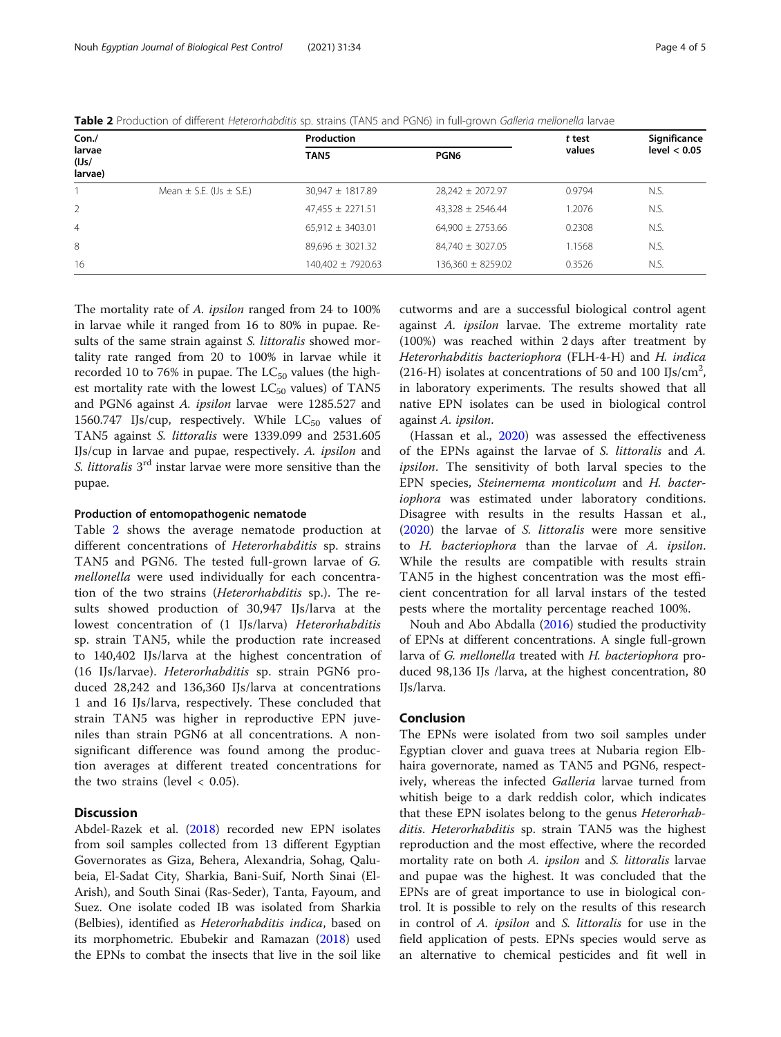| Con./                      |                                  | Production           | t test                | Significance |                |
|----------------------------|----------------------------------|----------------------|-----------------------|--------------|----------------|
| larvae<br>(IJs/<br>larvae) |                                  | TAN <sub>5</sub>     | PGN <sub>6</sub>      | values       | level $< 0.05$ |
|                            | Mean $\pm$ S.E. (IJs $\pm$ S.E.) | $30,947 \pm 1817.89$ | $28,242 \pm 2072.97$  | 0.9794       | N.S.           |
| 2                          |                                  | $47,455 \pm 2271.51$ | $43,328 \pm 2546.44$  | 1.2076       | N.S.           |
| $\overline{4}$             |                                  | $65,912 \pm 3403.01$ | $64.900 \pm 2753.66$  | 0.2308       | N.S.           |
| 8                          |                                  | $89,696 \pm 3021.32$ | $84,740 \pm 3027.05$  | 1.1568       | N.S.           |
| 16                         |                                  | 140,402 ± 7920.63    | $136,360 \pm 8259.02$ | 0.3526       | N.S.           |

Table 2 Production of different Heterorhabditis sp. strains (TAN5 and PGN6) in full-grown Galleria mellonella larvae

The mortality rate of A. *ipsilon* ranged from 24 to 100% in larvae while it ranged from 16 to 80% in pupae. Results of the same strain against *S. littoralis* showed mortality rate ranged from 20 to 100% in larvae while it recorded 10 to 76% in pupae. The  $LC_{50}$  values (the highest mortality rate with the lowest  $LC_{50}$  values) of TAN5 and PGN6 against A. ipsilon larvae were 1285.527 and 1560.747 IJs/cup, respectively. While  $LC_{50}$  values of TAN5 against S. littoralis were 1339.099 and 2531.605 IJs/cup in larvae and pupae, respectively. A. ipsilon and S. *littoralis* 3<sup>rd</sup> instar larvae were more sensitive than the pupae.

#### Production of entomopathogenic nematode

Table 2 shows the average nematode production at different concentrations of Heterorhabditis sp. strains TAN5 and PGN6. The tested full-grown larvae of G. mellonella were used individually for each concentration of the two strains (Heterorhabditis sp.). The results showed production of 30,947 IJs/larva at the lowest concentration of (1 IJs/larva) Heterorhabditis sp. strain TAN5, while the production rate increased to 140,402 IJs/larva at the highest concentration of (16 IJs/larvae). Heterorhabditis sp. strain PGN6 produced 28,242 and 136,360 IJs/larva at concentrations 1 and 16 IJs/larva, respectively. These concluded that strain TAN5 was higher in reproductive EPN juveniles than strain PGN6 at all concentrations. A nonsignificant difference was found among the production averages at different treated concentrations for the two strains (level  $< 0.05$ ).

# **Discussion**

Abdel-Razek et al. ([2018](#page-4-0)) recorded new EPN isolates from soil samples collected from 13 different Egyptian Governorates as Giza, Behera, Alexandria, Sohag, Qalubeia, El-Sadat City, Sharkia, Bani-Suif, North Sinai (El-Arish), and South Sinai (Ras-Seder), Tanta, Fayoum, and Suez. One isolate coded IB was isolated from Sharkia (Belbies), identified as Heterorhabditis indica, based on its morphometric. Ebubekir and Ramazan [\(2018\)](#page-4-0) used the EPNs to combat the insects that live in the soil like

cutworms and are a successful biological control agent against A. ipsilon larvae. The extreme mortality rate (100%) was reached within 2 days after treatment by Heterorhabditis bacteriophora (FLH-4-H) and H. indica (216-H) isolates at concentrations of 50 and 100 IJs/cm<sup>2</sup>, in laboratory experiments. The results showed that all native EPN isolates can be used in biological control against A. ipsilon.

(Hassan et al., [2020](#page-4-0)) was assessed the effectiveness of the EPNs against the larvae of S. littoralis and A. ipsilon. The sensitivity of both larval species to the EPN species, Steinernema monticolum and H. bacteriophora was estimated under laboratory conditions. Disagree with results in the results Hassan et al., ([2020\)](#page-4-0) the larvae of S. littoralis were more sensitive to H. bacteriophora than the larvae of A. ipsilon. While the results are compatible with results strain TAN5 in the highest concentration was the most efficient concentration for all larval instars of the tested pests where the mortality percentage reached 100%.

Nouh and Abo Abdalla ([2016](#page-4-0)) studied the productivity of EPNs at different concentrations. A single full-grown larva of G. mellonella treated with H. bacteriophora produced 98,136 IJs /larva, at the highest concentration, 80 IJs/larva.

## Conclusion

The EPNs were isolated from two soil samples under Egyptian clover and guava trees at Nubaria region Elbhaira governorate, named as TAN5 and PGN6, respectively, whereas the infected Galleria larvae turned from whitish beige to a dark reddish color, which indicates that these EPN isolates belong to the genus Heterorhabditis. Heterorhabditis sp. strain TAN5 was the highest reproduction and the most effective, where the recorded mortality rate on both A. *ipsilon* and S. *littoralis* larvae and pupae was the highest. It was concluded that the EPNs are of great importance to use in biological control. It is possible to rely on the results of this research in control of A. ipsilon and S. littoralis for use in the field application of pests. EPNs species would serve as an alternative to chemical pesticides and fit well in